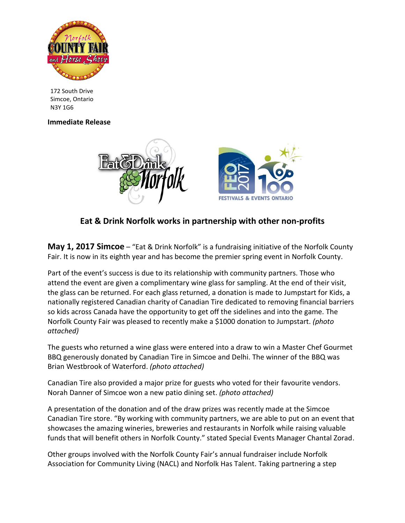

172 South Drive Simcoe, Ontario N3Y 1G6

## **Immediate Release**



## **Eat & Drink Norfolk works in partnership with other non-profits**

**May 1, 2017 Simcoe** – "Eat & Drink Norfolk" is a fundraising initiative of the Norfolk County Fair. It is now in its eighth year and has become the premier spring event in Norfolk County.

Part of the event's success is due to its relationship with community partners. Those who attend the event are given a complimentary wine glass for sampling. At the end of their visit, the glass can be returned. For each glass returned, a donation is made to Jumpstart for Kids, a nationally registered Canadian charity of Canadian Tire dedicated to removing financial barriers so kids across Canada have the opportunity to get off the sidelines and into the game. The Norfolk County Fair was pleased to recently make a \$1000 donation to Jumpstart. *(photo attached)*

The guests who returned a wine glass were entered into a draw to win a Master Chef Gourmet BBQ generously donated by Canadian Tire in Simcoe and Delhi. The winner of the BBQ was Brian Westbrook of Waterford. *(photo attached)*

Canadian Tire also provided a major prize for guests who voted for their favourite vendors. Norah Danner of Simcoe won a new patio dining set. *(photo attached)*

A presentation of the donation and of the draw prizes was recently made at the Simcoe Canadian Tire store. "By working with community partners, we are able to put on an event that showcases the amazing wineries, breweries and restaurants in Norfolk while raising valuable funds that will benefit others in Norfolk County." stated Special Events Manager Chantal Zorad.

Other groups involved with the Norfolk County Fair's annual fundraiser include Norfolk Association for Community Living (NACL) and Norfolk Has Talent. Taking partnering a step